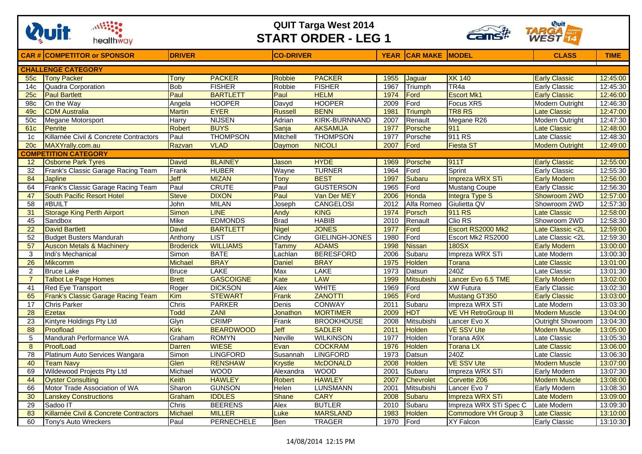